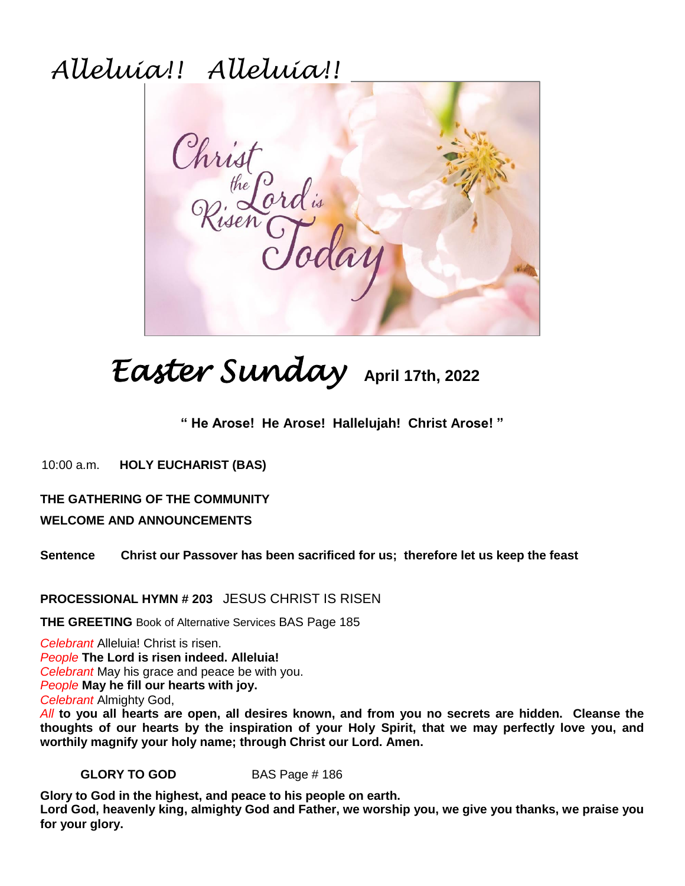# *Alleluia!! Alleluia!!*



# *Easter Sunday* **April 17th, <sup>2022</sup>**

**" He Arose! He Arose! Hallelujah! Christ Arose! "**

10:00 a.m. **HOLY EUCHARIST (BAS)** 

**THE GATHERING OF THE COMMUNITY**

**WELCOME AND ANNOUNCEMENTS**

**Sentence Christ our Passover has been sacrificed for us; therefore let us keep the feast**

**PROCESSIONAL HYMN # 203** JESUS CHRIST IS RISEN

**THE GREETING** Book of Alternative Services BAS Page 185

*Celebrant* Alleluia! Christ is risen. *People* **The Lord is risen indeed. Alleluia!** *Celebrant* May his grace and peace be with you. *People* **May he fill our hearts with joy.** *Celebrant* Almighty God,

*All* **to you all hearts are open, all desires known, and from you no secrets are hidden. Cleanse the thoughts of our hearts by the inspiration of your Holy Spirit, that we may perfectly love you, and worthily magnify your holy name; through Christ our Lord. Amen.**

**GLORY TO GOD** BAS Page # 186

**Glory to God in the highest, and peace to his people on earth. Lord God, heavenly king, almighty God and Father, we worship you, we give you thanks, we praise you for your glory.**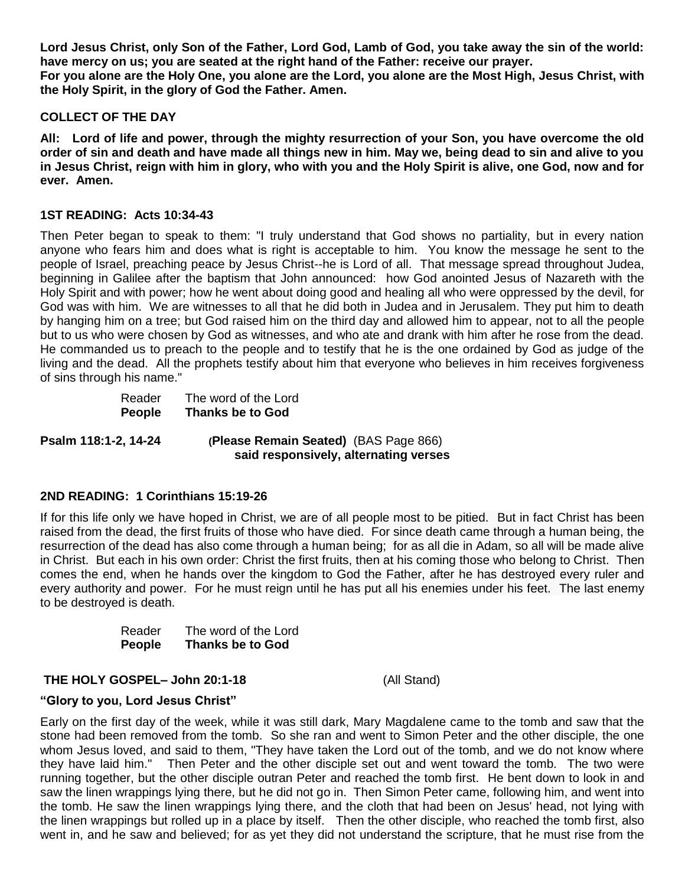**Lord Jesus Christ, only Son of the Father, Lord God, Lamb of God, you take away the sin of the world: have mercy on us; you are seated at the right hand of the Father: receive our prayer. For you alone are the Holy One, you alone are the Lord, you alone are the Most High, Jesus Christ, with the Holy Spirit, in the glory of God the Father. Amen.**

#### **COLLECT OF THE DAY**

**All: Lord of life and power, through the mighty resurrection of your Son, you have overcome the old order of sin and death and have made all things new in him. May we, being dead to sin and alive to you in Jesus Christ, reign with him in glory, who with you and the Holy Spirit is alive, one God, now and for ever. Amen.**

#### **1ST READING: Acts 10:34-43**

Then Peter began to speak to them: "I truly understand that God shows no partiality, but in every nation anyone who fears him and does what is right is acceptable to him. You know the message he sent to the people of Israel, preaching peace by Jesus Christ--he is Lord of all. That message spread throughout Judea, beginning in Galilee after the baptism that John announced: how God anointed Jesus of Nazareth with the Holy Spirit and with power; how he went about doing good and healing all who were oppressed by the devil, for God was with him. We are witnesses to all that he did both in Judea and in Jerusalem. They put him to death by hanging him on a tree; but God raised him on the third day and allowed him to appear, not to all the people but to us who were chosen by God as witnesses, and who ate and drank with him after he rose from the dead. He commanded us to preach to the people and to testify that he is the one ordained by God as judge of the living and the dead. All the prophets testify about him that everyone who believes in him receives forgiveness of sins through his name."

| Reader        | The word of the Lord    |
|---------------|-------------------------|
| <b>People</b> | <b>Thanks be to God</b> |

**Psalm 118:1-2, 14-24 (Please Remain Seated)** (BAS Page 866) **said responsively, alternating verses**

#### **2ND READING: 1 Corinthians 15:19-26**

If for this life only we have hoped in Christ, we are of all people most to be pitied. But in fact Christ has been raised from the dead, the first fruits of those who have died. For since death came through a human being, the resurrection of the dead has also come through a human being; for as all die in Adam, so all will be made alive in Christ. But each in his own order: Christ the first fruits, then at his coming those who belong to Christ. Then comes the end, when he hands over the kingdom to God the Father, after he has destroyed every ruler and every authority and power. For he must reign until he has put all his enemies under his feet. The last enemy to be destroyed is death.

| Reader | The word of the Lord    |
|--------|-------------------------|
| People | <b>Thanks be to God</b> |

#### **THE HOLY GOSPEL– John 20:1-18** (All Stand)

#### **"Glory to you, Lord Jesus Christ"**

Early on the first day of the week, while it was still dark, Mary Magdalene came to the tomb and saw that the stone had been removed from the tomb. So she ran and went to Simon Peter and the other disciple, the one whom Jesus loved, and said to them, "They have taken the Lord out of the tomb, and we do not know where they have laid him." Then Peter and the other disciple set out and went toward the tomb. The two were running together, but the other disciple outran Peter and reached the tomb first. He bent down to look in and saw the linen wrappings lying there, but he did not go in. Then Simon Peter came, following him, and went into the tomb. He saw the linen wrappings lying there, and the cloth that had been on Jesus' head, not lying with the linen wrappings but rolled up in a place by itself. Then the other disciple, who reached the tomb first, also went in, and he saw and believed; for as yet they did not understand the scripture, that he must rise from the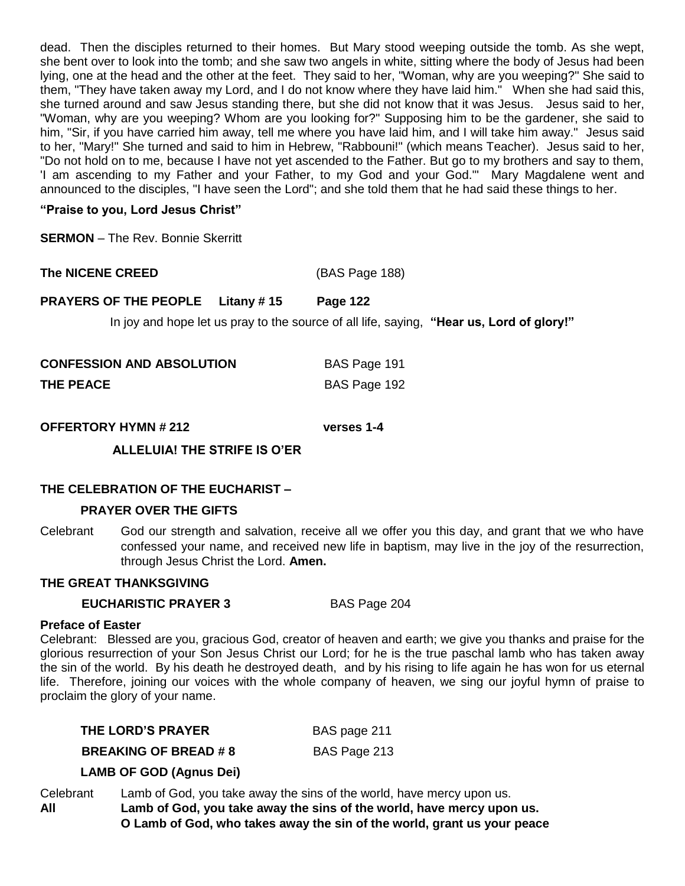dead. Then the disciples returned to their homes. But Mary stood weeping outside the tomb. As she wept, she bent over to look into the tomb; and she saw two angels in white, sitting where the body of Jesus had been lying, one at the head and the other at the feet. They said to her, "Woman, why are you weeping?" She said to them, "They have taken away my Lord, and I do not know where they have laid him." When she had said this, she turned around and saw Jesus standing there, but she did not know that it was Jesus. Jesus said to her, "Woman, why are you weeping? Whom are you looking for?" Supposing him to be the gardener, she said to him, "Sir, if you have carried him away, tell me where you have laid him, and I will take him away." Jesus said to her, "Mary!" She turned and said to him in Hebrew, "Rabbouni!" (which means Teacher). Jesus said to her, "Do not hold on to me, because I have not yet ascended to the Father. But go to my brothers and say to them, 'I am ascending to my Father and your Father, to my God and your God.'" Mary Magdalene went and announced to the disciples, "I have seen the Lord"; and she told them that he had said these things to her.

#### **"Praise to you, Lord Jesus Christ"**

**SERMON** – The Rev. Bonnie Skerritt

**The NICENE CREED** (BAS Page 188)

#### **PRAYERS OF THE PEOPLE Litany # 15 Page 122**

In joy and hope let us pray to the source of all life, saying, **"Hear us, Lord of glory!"**

| <b>CONFESSION AND ABSOLUTION</b> | BAS Page 191 |
|----------------------------------|--------------|
| <b>THE PEACE</b>                 | BAS Page 192 |

#### **OFFERTORY HYMN # 212 verses 1-4**

#### **ALLELUIA! THE STRIFE IS O'ER**

#### **THE CELEBRATION OF THE EUCHARIST –**

#### **PRAYER OVER THE GIFTS**

Celebrant God our strength and salvation, receive all we offer you this day, and grant that we who have confessed your name, and received new life in baptism, may live in the joy of the resurrection, through Jesus Christ the Lord. **Amen.**

#### **THE GREAT THANKSGIVING**

#### **EUCHARISTIC PRAYER 3** BAS Page 204

#### **Preface of Easter**

Celebrant: Blessed are you, gracious God, creator of heaven and earth; we give you thanks and praise for the glorious resurrection of your Son Jesus Christ our Lord; for he is the true paschal lamb who has taken away the sin of the world. By his death he destroyed death, and by his rising to life again he has won for us eternal life. Therefore, joining our voices with the whole company of heaven, we sing our joyful hymn of praise to proclaim the glory of your name.

| THE LORD'S PRAYER           | BAS page 211 |
|-----------------------------|--------------|
| <b>BREAKING OF BREAD #8</b> | BAS Page 213 |

#### **LAMB OF GOD (Agnus Dei)**

Celebrant Lamb of God, you take away the sins of the world, have mercy upon us. **All Lamb of God, you take away the sins of the world, have mercy upon us. O Lamb of God, who takes away the sin of the world, grant us your peace**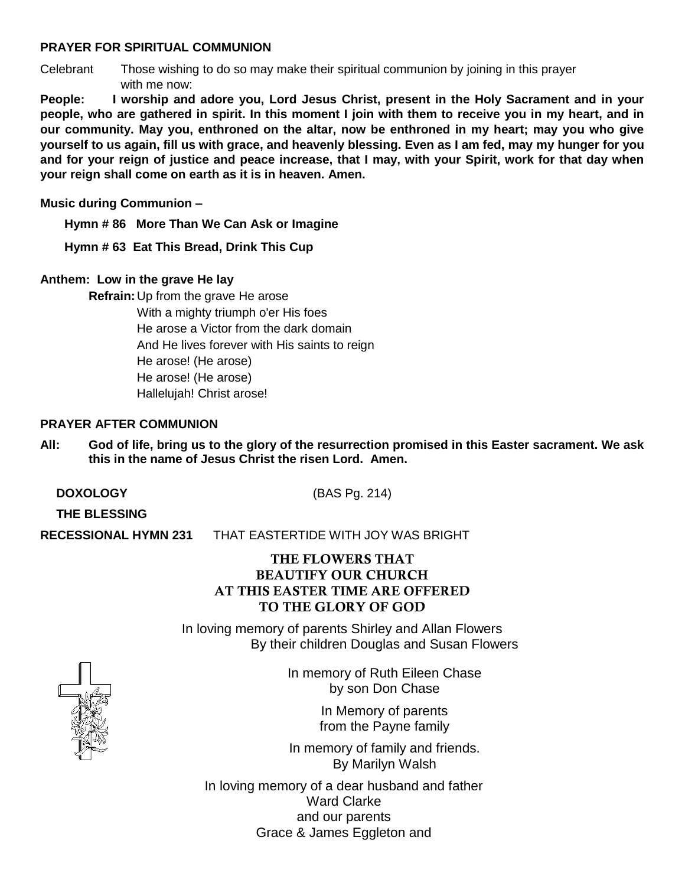#### **PRAYER FOR SPIRITUAL COMMUNION**

Celebrant Those wishing to do so may make their spiritual communion by joining in this prayer with me now:

**People: I worship and adore you, Lord Jesus Christ, present in the Holy Sacrament and in your people, who are gathered in spirit. In this moment I join with them to receive you in my heart, and in our community. May you, enthroned on the altar, now be enthroned in my heart; may you who give yourself to us again, fill us with grace, and heavenly blessing. Even as I am fed, may my hunger for you and for your reign of justice and peace increase, that I may, with your Spirit, work for that day when your reign shall come on earth as it is in heaven. Amen.**

**Music during Communion –**

 **Hymn # 86 More Than We Can Ask or Imagine** 

**Hymn # 63 Eat This Bread, Drink This Cup** 

#### **Anthem: Low in the grave He lay**

**Refrain:** Up from the grave He arose

With a mighty triumph o'er His foes He arose a Victor from the dark domain And He lives forever with His saints to reign He arose! (He arose) He arose! (He arose) Hallelujah! Christ arose!

#### **PRAYER AFTER COMMUNION**

**All: God of life, bring us to the glory of the resurrection promised in this Easter sacrament. We ask this in the name of Jesus Christ the risen Lord. Amen.** 

**DOXOLOGY** (BAS Pg. 214)

**THE BLESSING**

**RECESSIONAL HYMN 231** THAT EASTERTIDE WITH JOY WAS BRIGHT

#### **THE FLOWERS THAT BEAUTIFY OUR CHURCH AT THIS EASTER TIME ARE OFFERED TO THE GLORY OF GOD**

In loving memory of parents Shirley and Allan Flowers By their children Douglas and Susan Flowers

> In memory of Ruth Eileen Chase by son Don Chase

> > In Memory of parents from the Payne family

In memory of family and friends. By Marilyn Walsh

In loving memory of a dear husband and father Ward Clarke and our parents Grace & James Eggleton and